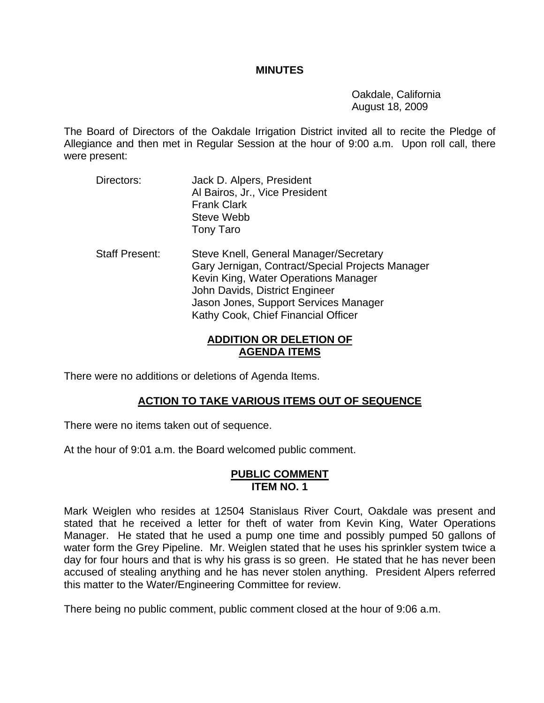#### **MINUTES**

 Oakdale, California August 18, 2009

The Board of Directors of the Oakdale Irrigation District invited all to recite the Pledge of Allegiance and then met in Regular Session at the hour of 9:00 a.m. Upon roll call, there were present:

- Directors: Jack D. Alpers, President Al Bairos, Jr., Vice President Frank Clark Steve Webb Tony Taro
- Staff Present: Steve Knell, General Manager/Secretary Gary Jernigan, Contract/Special Projects Manager Kevin King, Water Operations Manager John Davids, District Engineer Jason Jones, Support Services Manager Kathy Cook, Chief Financial Officer

# **ADDITION OR DELETION OF AGENDA ITEMS**

There were no additions or deletions of Agenda Items.

# **ACTION TO TAKE VARIOUS ITEMS OUT OF SEQUENCE**

There were no items taken out of sequence.

At the hour of 9:01 a.m. the Board welcomed public comment.

### **PUBLIC COMMENT ITEM NO. 1**

Mark Weiglen who resides at 12504 Stanislaus River Court, Oakdale was present and stated that he received a letter for theft of water from Kevin King, Water Operations Manager. He stated that he used a pump one time and possibly pumped 50 gallons of water form the Grey Pipeline. Mr. Weiglen stated that he uses his sprinkler system twice a day for four hours and that is why his grass is so green. He stated that he has never been accused of stealing anything and he has never stolen anything. President Alpers referred this matter to the Water/Engineering Committee for review.

There being no public comment, public comment closed at the hour of 9:06 a.m.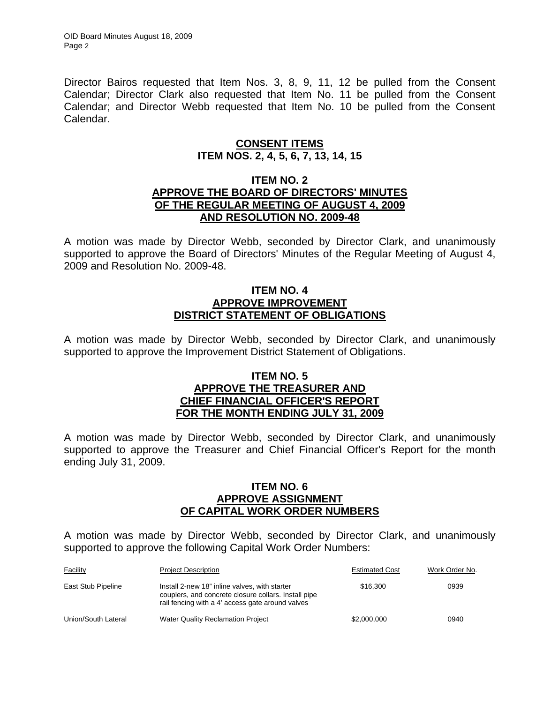Director Bairos requested that Item Nos. 3, 8, 9, 11, 12 be pulled from the Consent Calendar; Director Clark also requested that Item No. 11 be pulled from the Consent Calendar; and Director Webb requested that Item No. 10 be pulled from the Consent Calendar.

# **CONSENT ITEMS ITEM NOS. 2, 4, 5, 6, 7, 13, 14, 15**

### **ITEM NO. 2 APPROVE THE BOARD OF DIRECTORS' MINUTES OF THE REGULAR MEETING OF AUGUST 4, 2009 AND RESOLUTION NO. 2009-48**

A motion was made by Director Webb, seconded by Director Clark, and unanimously supported to approve the Board of Directors' Minutes of the Regular Meeting of August 4, 2009 and Resolution No. 2009-48.

### **ITEM NO. 4 APPROVE IMPROVEMENT DISTRICT STATEMENT OF OBLIGATIONS**

A motion was made by Director Webb, seconded by Director Clark, and unanimously supported to approve the Improvement District Statement of Obligations.

### **ITEM NO. 5 APPROVE THE TREASURER AND CHIEF FINANCIAL OFFICER'S REPORT FOR THE MONTH ENDING JULY 31, 2009**

A motion was made by Director Webb, seconded by Director Clark, and unanimously supported to approve the Treasurer and Chief Financial Officer's Report for the month ending July 31, 2009.

### **ITEM NO. 6 APPROVE ASSIGNMENT OF CAPITAL WORK ORDER NUMBERS**

A motion was made by Director Webb, seconded by Director Clark, and unanimously supported to approve the following Capital Work Order Numbers:

| <b>Facility</b>     | <b>Project Description</b>                                                                                                                                | <b>Estimated Cost</b> | Work Order No. |
|---------------------|-----------------------------------------------------------------------------------------------------------------------------------------------------------|-----------------------|----------------|
| East Stub Pipeline  | Install 2-new 18" inline valves, with starter<br>couplers, and concrete closure collars. Install pipe<br>rail fencing with a 4' access gate around valves | \$16,300              | 0939           |
| Union/South Lateral | Water Quality Reclamation Project                                                                                                                         | \$2,000,000           | 0940           |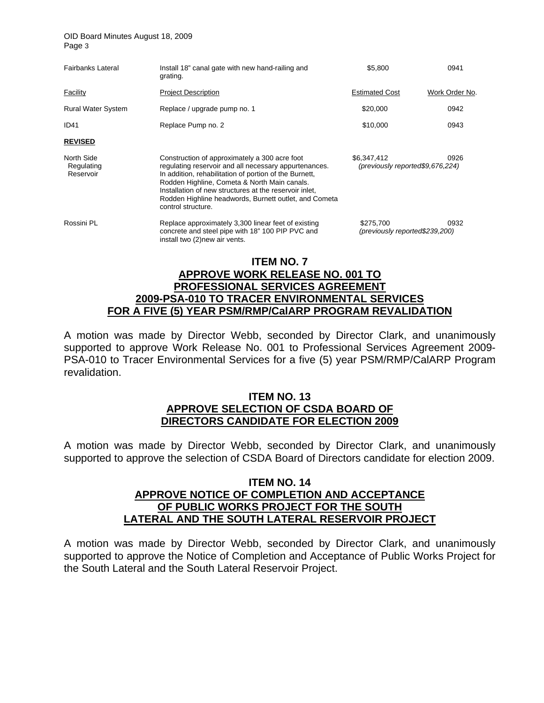OID Board Minutes August 18, 2009 Page 3

| Fairbanks Lateral                     | Install 18" canal gate with new hand-railing and<br>grating.                                                                                                                                                                                                                                                                                              | \$5,800                                                 | 0941           |  |  |
|---------------------------------------|-----------------------------------------------------------------------------------------------------------------------------------------------------------------------------------------------------------------------------------------------------------------------------------------------------------------------------------------------------------|---------------------------------------------------------|----------------|--|--|
| Facility                              | <b>Project Description</b>                                                                                                                                                                                                                                                                                                                                | <b>Estimated Cost</b>                                   | Work Order No. |  |  |
| <b>Rural Water System</b>             | Replace / upgrade pump no. 1                                                                                                                                                                                                                                                                                                                              | \$20,000                                                | 0942           |  |  |
| <b>ID41</b>                           | Replace Pump no. 2                                                                                                                                                                                                                                                                                                                                        | \$10,000                                                | 0943           |  |  |
| <b>REVISED</b>                        |                                                                                                                                                                                                                                                                                                                                                           |                                                         |                |  |  |
| North Side<br>Regulating<br>Reservoir | Construction of approximately a 300 acre foot<br>regulating reservoir and all necessary appurtenances.<br>In addition, rehabilitation of portion of the Burnett,<br>Rodden Highline, Cometa & North Main canals.<br>Installation of new structures at the reservoir inlet,<br>Rodden Highline headwords, Burnett outlet, and Cometa<br>control structure. | \$6,347,412<br>0926<br>(previously reported\$9,676,224) |                |  |  |
| Rossini PL                            | Replace approximately 3,300 linear feet of existing<br>concrete and steel pipe with 18" 100 PIP PVC and<br>install two (2) new air vents.                                                                                                                                                                                                                 | \$275.700<br>(previously reported\$239,200)             | 0932           |  |  |
| <b>ITEM NO. 7</b>                     |                                                                                                                                                                                                                                                                                                                                                           |                                                         |                |  |  |

## **APPROVE WORK RELEASE NO. 001 TO PROFESSIONAL SERVICES AGREEMENT 2009-PSA-010 TO TRACER ENVIRONMENTAL SERVICES FOR A FIVE (5) YEAR PSM/RMP/CalARP PROGRAM REVALIDATION**

A motion was made by Director Webb, seconded by Director Clark, and unanimously supported to approve Work Release No. 001 to Professional Services Agreement 2009- PSA-010 to Tracer Environmental Services for a five (5) year PSM/RMP/CalARP Program revalidation.

### **ITEM NO. 13 APPROVE SELECTION OF CSDA BOARD OF DIRECTORS CANDIDATE FOR ELECTION 2009**

A motion was made by Director Webb, seconded by Director Clark, and unanimously supported to approve the selection of CSDA Board of Directors candidate for election 2009.

### **ITEM NO. 14 APPROVE NOTICE OF COMPLETION AND ACCEPTANCE OF PUBLIC WORKS PROJECT FOR THE SOUTH LATERAL AND THE SOUTH LATERAL RESERVOIR PROJECT**

A motion was made by Director Webb, seconded by Director Clark, and unanimously supported to approve the Notice of Completion and Acceptance of Public Works Project for the South Lateral and the South Lateral Reservoir Project.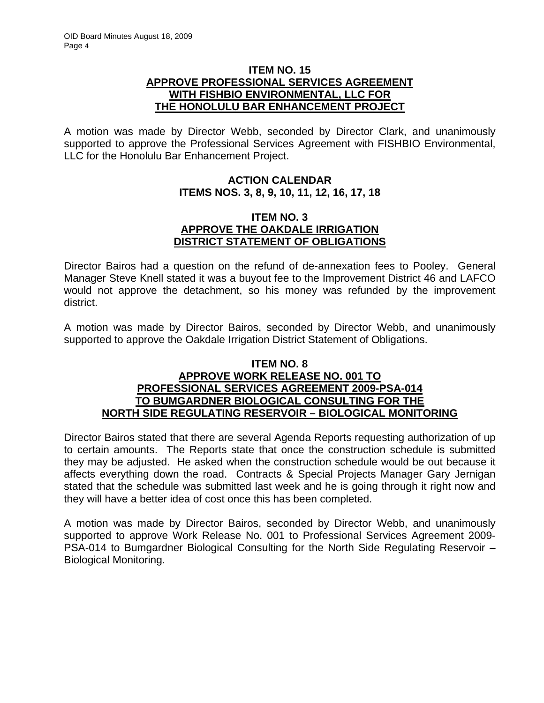## **ITEM NO. 15 APPROVE PROFESSIONAL SERVICES AGREEMENT WITH FISHBIO ENVIRONMENTAL, LLC FOR THE HONOLULU BAR ENHANCEMENT PROJECT**

A motion was made by Director Webb, seconded by Director Clark, and unanimously supported to approve the Professional Services Agreement with FISHBIO Environmental, LLC for the Honolulu Bar Enhancement Project.

# **ACTION CALENDAR ITEMS NOS. 3, 8, 9, 10, 11, 12, 16, 17, 18**

### **ITEM NO. 3 APPROVE THE OAKDALE IRRIGATION DISTRICT STATEMENT OF OBLIGATIONS**

Director Bairos had a question on the refund of de-annexation fees to Pooley. General Manager Steve Knell stated it was a buyout fee to the Improvement District 46 and LAFCO would not approve the detachment, so his money was refunded by the improvement district.

A motion was made by Director Bairos, seconded by Director Webb, and unanimously supported to approve the Oakdale Irrigation District Statement of Obligations.

## **ITEM NO. 8 APPROVE WORK RELEASE NO. 001 TO PROFESSIONAL SERVICES AGREEMENT 2009-PSA-014 TO BUMGARDNER BIOLOGICAL CONSULTING FOR THE NORTH SIDE REGULATING RESERVOIR – BIOLOGICAL MONITORING**

Director Bairos stated that there are several Agenda Reports requesting authorization of up to certain amounts. The Reports state that once the construction schedule is submitted they may be adjusted. He asked when the construction schedule would be out because it affects everything down the road. Contracts & Special Projects Manager Gary Jernigan stated that the schedule was submitted last week and he is going through it right now and they will have a better idea of cost once this has been completed.

A motion was made by Director Bairos, seconded by Director Webb, and unanimously supported to approve Work Release No. 001 to Professional Services Agreement 2009- PSA-014 to Bumgardner Biological Consulting for the North Side Regulating Reservoir – Biological Monitoring.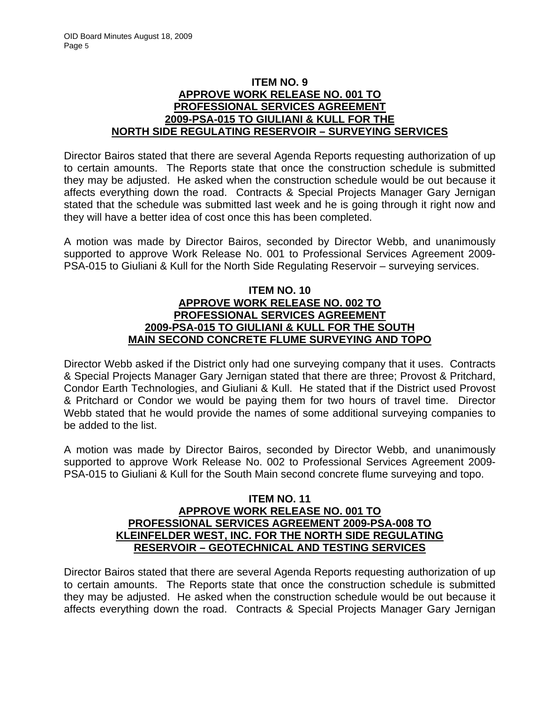# **ITEM NO. 9 APPROVE WORK RELEASE NO. 001 TO PROFESSIONAL SERVICES AGREEMENT 2009-PSA-015 TO GIULIANI & KULL FOR THE NORTH SIDE REGULATING RESERVOIR – SURVEYING SERVICES**

Director Bairos stated that there are several Agenda Reports requesting authorization of up to certain amounts. The Reports state that once the construction schedule is submitted they may be adjusted. He asked when the construction schedule would be out because it affects everything down the road. Contracts & Special Projects Manager Gary Jernigan stated that the schedule was submitted last week and he is going through it right now and they will have a better idea of cost once this has been completed.

A motion was made by Director Bairos, seconded by Director Webb, and unanimously supported to approve Work Release No. 001 to Professional Services Agreement 2009- PSA-015 to Giuliani & Kull for the North Side Regulating Reservoir – surveying services.

## **ITEM NO. 10 APPROVE WORK RELEASE NO. 002 TO PROFESSIONAL SERVICES AGREEMENT 2009-PSA-015 TO GIULIANI & KULL FOR THE SOUTH MAIN SECOND CONCRETE FLUME SURVEYING AND TOPO**

Director Webb asked if the District only had one surveying company that it uses. Contracts & Special Projects Manager Gary Jernigan stated that there are three; Provost & Pritchard, Condor Earth Technologies, and Giuliani & Kull. He stated that if the District used Provost & Pritchard or Condor we would be paying them for two hours of travel time. Director Webb stated that he would provide the names of some additional surveying companies to be added to the list.

A motion was made by Director Bairos, seconded by Director Webb, and unanimously supported to approve Work Release No. 002 to Professional Services Agreement 2009- PSA-015 to Giuliani & Kull for the South Main second concrete flume surveying and topo.

## **ITEM NO. 11 APPROVE WORK RELEASE NO. 001 TO PROFESSIONAL SERVICES AGREEMENT 2009-PSA-008 TO KLEINFELDER WEST, INC. FOR THE NORTH SIDE REGULATING RESERVOIR – GEOTECHNICAL AND TESTING SERVICES**

Director Bairos stated that there are several Agenda Reports requesting authorization of up to certain amounts. The Reports state that once the construction schedule is submitted they may be adjusted. He asked when the construction schedule would be out because it affects everything down the road. Contracts & Special Projects Manager Gary Jernigan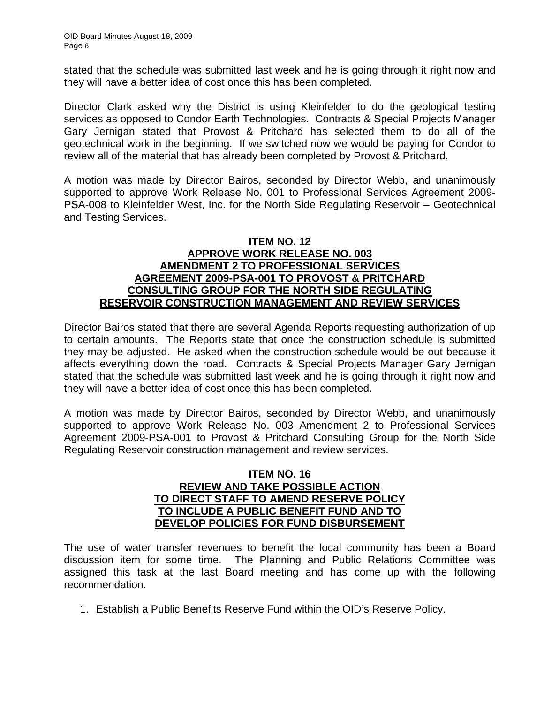stated that the schedule was submitted last week and he is going through it right now and they will have a better idea of cost once this has been completed.

Director Clark asked why the District is using Kleinfelder to do the geological testing services as opposed to Condor Earth Technologies. Contracts & Special Projects Manager Gary Jernigan stated that Provost & Pritchard has selected them to do all of the geotechnical work in the beginning. If we switched now we would be paying for Condor to review all of the material that has already been completed by Provost & Pritchard.

A motion was made by Director Bairos, seconded by Director Webb, and unanimously supported to approve Work Release No. 001 to Professional Services Agreement 2009- PSA-008 to Kleinfelder West, Inc. for the North Side Regulating Reservoir – Geotechnical and Testing Services.

## **ITEM NO. 12 APPROVE WORK RELEASE NO. 003 AMENDMENT 2 TO PROFESSIONAL SERVICES AGREEMENT 2009-PSA-001 TO PROVOST & PRITCHARD CONSULTING GROUP FOR THE NORTH SIDE REGULATING RESERVOIR CONSTRUCTION MANAGEMENT AND REVIEW SERVICES**

Director Bairos stated that there are several Agenda Reports requesting authorization of up to certain amounts. The Reports state that once the construction schedule is submitted they may be adjusted. He asked when the construction schedule would be out because it affects everything down the road. Contracts & Special Projects Manager Gary Jernigan stated that the schedule was submitted last week and he is going through it right now and they will have a better idea of cost once this has been completed.

A motion was made by Director Bairos, seconded by Director Webb, and unanimously supported to approve Work Release No. 003 Amendment 2 to Professional Services Agreement 2009-PSA-001 to Provost & Pritchard Consulting Group for the North Side Regulating Reservoir construction management and review services.

# **ITEM NO. 16 REVIEW AND TAKE POSSIBLE ACTION TO DIRECT STAFF TO AMEND RESERVE POLICY TO INCLUDE A PUBLIC BENEFIT FUND AND TO DEVELOP POLICIES FOR FUND DISBURSEMENT**

The use of water transfer revenues to benefit the local community has been a Board discussion item for some time. The Planning and Public Relations Committee was assigned this task at the last Board meeting and has come up with the following recommendation.

1. Establish a Public Benefits Reserve Fund within the OID's Reserve Policy.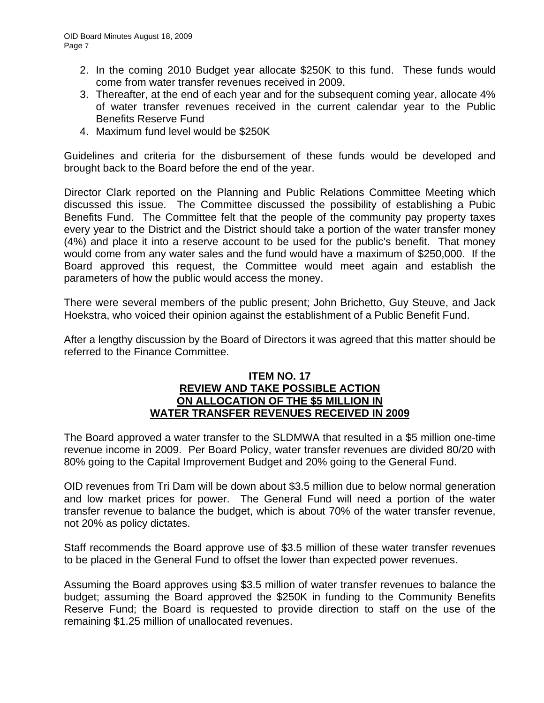- 2. In the coming 2010 Budget year allocate \$250K to this fund. These funds would come from water transfer revenues received in 2009.
- 3. Thereafter, at the end of each year and for the subsequent coming year, allocate 4% of water transfer revenues received in the current calendar year to the Public Benefits Reserve Fund
- 4. Maximum fund level would be \$250K

Guidelines and criteria for the disbursement of these funds would be developed and brought back to the Board before the end of the year.

Director Clark reported on the Planning and Public Relations Committee Meeting which discussed this issue. The Committee discussed the possibility of establishing a Pubic Benefits Fund. The Committee felt that the people of the community pay property taxes every year to the District and the District should take a portion of the water transfer money (4%) and place it into a reserve account to be used for the public's benefit. That money would come from any water sales and the fund would have a maximum of \$250,000. If the Board approved this request, the Committee would meet again and establish the parameters of how the public would access the money.

There were several members of the public present; John Brichetto, Guy Steuve, and Jack Hoekstra, who voiced their opinion against the establishment of a Public Benefit Fund.

After a lengthy discussion by the Board of Directors it was agreed that this matter should be referred to the Finance Committee.

### **ITEM NO. 17 REVIEW AND TAKE POSSIBLE ACTION ON ALLOCATION OF THE \$5 MILLION IN WATER TRANSFER REVENUES RECEIVED IN 2009**

The Board approved a water transfer to the SLDMWA that resulted in a \$5 million one-time revenue income in 2009. Per Board Policy, water transfer revenues are divided 80/20 with 80% going to the Capital Improvement Budget and 20% going to the General Fund.

OID revenues from Tri Dam will be down about \$3.5 million due to below normal generation and low market prices for power. The General Fund will need a portion of the water transfer revenue to balance the budget, which is about 70% of the water transfer revenue, not 20% as policy dictates.

Staff recommends the Board approve use of \$3.5 million of these water transfer revenues to be placed in the General Fund to offset the lower than expected power revenues.

Assuming the Board approves using \$3.5 million of water transfer revenues to balance the budget; assuming the Board approved the \$250K in funding to the Community Benefits Reserve Fund; the Board is requested to provide direction to staff on the use of the remaining \$1.25 million of unallocated revenues.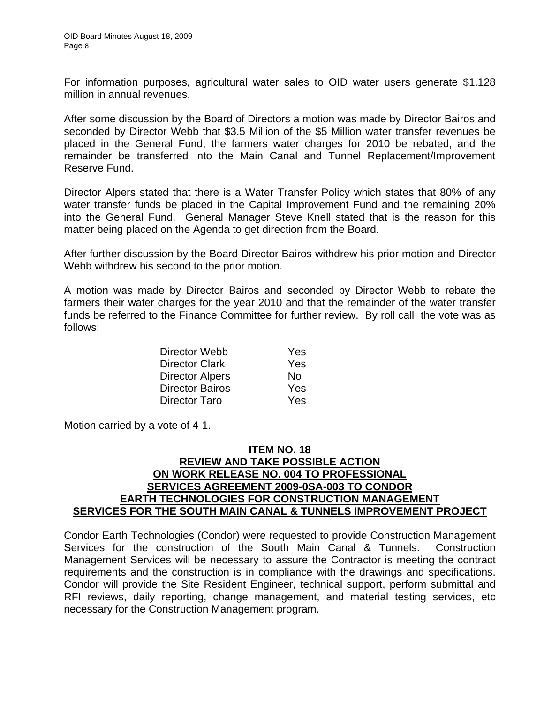For information purposes, agricultural water sales to OID water users generate \$1.128 million in annual revenues.

After some discussion by the Board of Directors a motion was made by Director Bairos and seconded by Director Webb that \$3.5 Million of the \$5 Million water transfer revenues be placed in the General Fund, the farmers water charges for 2010 be rebated, and the remainder be transferred into the Main Canal and Tunnel Replacement/Improvement Reserve Fund.

Director Alpers stated that there is a Water Transfer Policy which states that 80% of any water transfer funds be placed in the Capital Improvement Fund and the remaining 20% into the General Fund. General Manager Steve Knell stated that is the reason for this matter being placed on the Agenda to get direction from the Board.

After further discussion by the Board Director Bairos withdrew his prior motion and Director Webb withdrew his second to the prior motion.

A motion was made by Director Bairos and seconded by Director Webb to rebate the farmers their water charges for the year 2010 and that the remainder of the water transfer funds be referred to the Finance Committee for further review. By roll call the vote was as follows:

| Director Webb          | <b>Yes</b> |
|------------------------|------------|
| <b>Director Clark</b>  | <b>Yes</b> |
| <b>Director Alpers</b> | No         |
| <b>Director Bairos</b> | Yes        |
| Director Taro          | Yes        |

Motion carried by a vote of 4-1.

## **ITEM NO. 18 REVIEW AND TAKE POSSIBLE ACTION ON WORK RELEASE NO. 004 TO PROFESSIONAL SERVICES AGREEMENT 2009-0SA-003 TO CONDOR EARTH TECHNOLOGIES FOR CONSTRUCTION MANAGEMENT SERVICES FOR THE SOUTH MAIN CANAL & TUNNELS IMPROVEMENT PROJECT**

Condor Earth Technologies (Condor) were requested to provide Construction Management Services for the construction of the South Main Canal & Tunnels. Construction Management Services will be necessary to assure the Contractor is meeting the contract requirements and the construction is in compliance with the drawings and specifications. Condor will provide the Site Resident Engineer, technical support, perform submittal and RFI reviews, daily reporting, change management, and material testing services, etc necessary for the Construction Management program.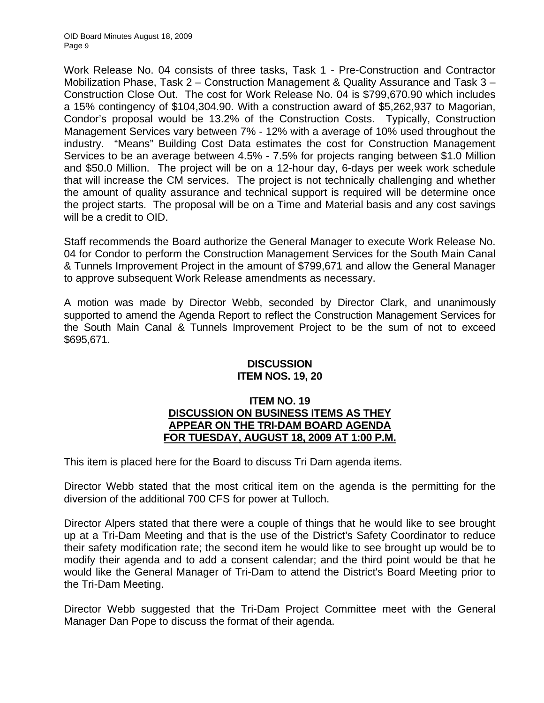Work Release No. 04 consists of three tasks, Task 1 - Pre-Construction and Contractor Mobilization Phase, Task 2 – Construction Management & Quality Assurance and Task 3 – Construction Close Out. The cost for Work Release No. 04 is \$799,670.90 which includes a 15% contingency of \$104,304.90. With a construction award of \$5,262,937 to Magorian, Condor's proposal would be 13.2% of the Construction Costs. Typically, Construction Management Services vary between 7% - 12% with a average of 10% used throughout the industry. "Means" Building Cost Data estimates the cost for Construction Management Services to be an average between 4.5% - 7.5% for projects ranging between \$1.0 Million and \$50.0 Million. The project will be on a 12-hour day, 6-days per week work schedule that will increase the CM services. The project is not technically challenging and whether the amount of quality assurance and technical support is required will be determine once the project starts. The proposal will be on a Time and Material basis and any cost savings will be a credit to OID.

Staff recommends the Board authorize the General Manager to execute Work Release No. 04 for Condor to perform the Construction Management Services for the South Main Canal & Tunnels Improvement Project in the amount of \$799,671 and allow the General Manager to approve subsequent Work Release amendments as necessary.

A motion was made by Director Webb, seconded by Director Clark, and unanimously supported to amend the Agenda Report to reflect the Construction Management Services for the South Main Canal & Tunnels Improvement Project to be the sum of not to exceed \$695,671.

# **DISCUSSION ITEM NOS. 19, 20**

## **ITEM NO. 19 DISCUSSION ON BUSINESS ITEMS AS THEY APPEAR ON THE TRI-DAM BOARD AGENDA FOR TUESDAY, AUGUST 18, 2009 AT 1:00 P.M.**

This item is placed here for the Board to discuss Tri Dam agenda items.

Director Webb stated that the most critical item on the agenda is the permitting for the diversion of the additional 700 CFS for power at Tulloch.

Director Alpers stated that there were a couple of things that he would like to see brought up at a Tri-Dam Meeting and that is the use of the District's Safety Coordinator to reduce their safety modification rate; the second item he would like to see brought up would be to modify their agenda and to add a consent calendar; and the third point would be that he would like the General Manager of Tri-Dam to attend the District's Board Meeting prior to the Tri-Dam Meeting.

Director Webb suggested that the Tri-Dam Project Committee meet with the General Manager Dan Pope to discuss the format of their agenda.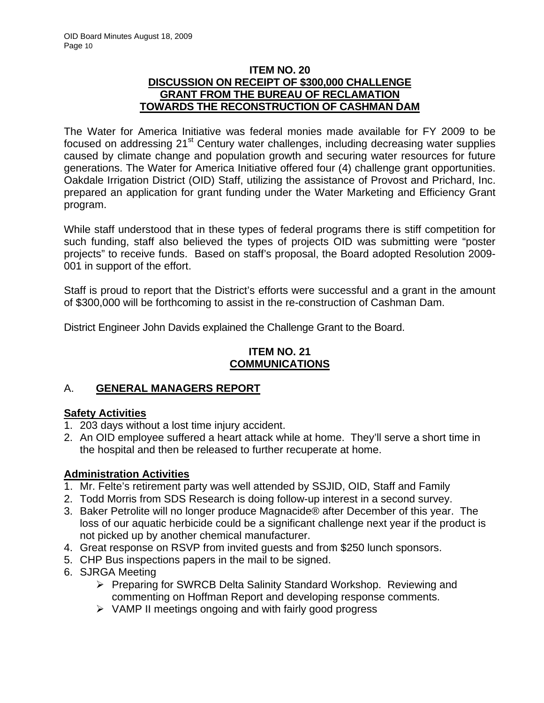# **ITEM NO. 20 DISCUSSION ON RECEIPT OF \$300,000 CHALLENGE GRANT FROM THE BUREAU OF RECLAMATION TOWARDS THE RECONSTRUCTION OF CASHMAN DAM**

The Water for America Initiative was federal monies made available for FY 2009 to be focused on addressing 21<sup>st</sup> Century water challenges, including decreasing water supplies caused by climate change and population growth and securing water resources for future generations. The Water for America Initiative offered four (4) challenge grant opportunities. Oakdale Irrigation District (OID) Staff, utilizing the assistance of Provost and Prichard, Inc. prepared an application for grant funding under the Water Marketing and Efficiency Grant program.

While staff understood that in these types of federal programs there is stiff competition for such funding, staff also believed the types of projects OID was submitting were "poster projects" to receive funds. Based on staff's proposal, the Board adopted Resolution 2009- 001 in support of the effort.

Staff is proud to report that the District's efforts were successful and a grant in the amount of \$300,000 will be forthcoming to assist in the re-construction of Cashman Dam.

District Engineer John Davids explained the Challenge Grant to the Board.

# **ITEM NO. 21 COMMUNICATIONS**

# A. **GENERAL MANAGERS REPORT**

# **Safety Activities**

- 1. 203 days without a lost time injury accident.
- 2. An OID employee suffered a heart attack while at home. They'll serve a short time in the hospital and then be released to further recuperate at home.

# **Administration Activities**

- 1. Mr. Felte's retirement party was well attended by SSJID, OID, Staff and Family
- 2. Todd Morris from SDS Research is doing follow-up interest in a second survey.
- 3. Baker Petrolite will no longer produce Magnacide® after December of this year. The loss of our aquatic herbicide could be a significant challenge next year if the product is not picked up by another chemical manufacturer.
- 4. Great response on RSVP from invited guests and from \$250 lunch sponsors.
- 5. CHP Bus inspections papers in the mail to be signed.
- 6. SJRGA Meeting
	- ¾ Preparing for SWRCB Delta Salinity Standard Workshop. Reviewing and commenting on Hoffman Report and developing response comments.
	- $\triangleright$  VAMP II meetings ongoing and with fairly good progress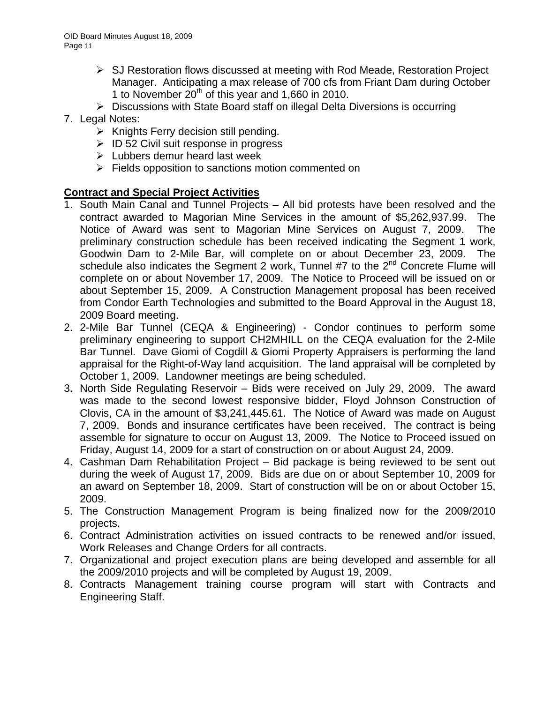- $\triangleright$  SJ Restoration flows discussed at meeting with Rod Meade, Restoration Project Manager. Anticipating a max release of 700 cfs from Friant Dam during October 1 to November  $20^{th}$  of this year and 1,660 in 2010.
- ¾ Discussions with State Board staff on illegal Delta Diversions is occurring
- 7. Legal Notes:
	- $\triangleright$  Knights Ferry decision still pending.
	- $\triangleright$  ID 52 Civil suit response in progress
	- $\triangleright$  Lubbers demur heard last week
	- $\triangleright$  Fields opposition to sanctions motion commented on

# **Contract and Special Project Activities**

- 1. South Main Canal and Tunnel Projects All bid protests have been resolved and the contract awarded to Magorian Mine Services in the amount of \$5,262,937.99. The Notice of Award was sent to Magorian Mine Services on August 7, 2009. The preliminary construction schedule has been received indicating the Segment 1 work, Goodwin Dam to 2-Mile Bar, will complete on or about December 23, 2009. The schedule also indicates the Segment 2 work, Tunnel #7 to the  $2^{nd}$  Concrete Flume will complete on or about November 17, 2009. The Notice to Proceed will be issued on or about September 15, 2009. A Construction Management proposal has been received from Condor Earth Technologies and submitted to the Board Approval in the August 18, 2009 Board meeting.
- 2. 2-Mile Bar Tunnel (CEQA & Engineering) Condor continues to perform some preliminary engineering to support CH2MHILL on the CEQA evaluation for the 2-Mile Bar Tunnel. Dave Giomi of Cogdill & Giomi Property Appraisers is performing the land appraisal for the Right-of-Way land acquisition. The land appraisal will be completed by October 1, 2009. Landowner meetings are being scheduled.
- 3. North Side Regulating Reservoir Bids were received on July 29, 2009. The award was made to the second lowest responsive bidder, Floyd Johnson Construction of Clovis, CA in the amount of \$3,241,445.61. The Notice of Award was made on August 7, 2009. Bonds and insurance certificates have been received. The contract is being assemble for signature to occur on August 13, 2009. The Notice to Proceed issued on Friday, August 14, 2009 for a start of construction on or about August 24, 2009.
- 4. Cashman Dam Rehabilitation Project Bid package is being reviewed to be sent out during the week of August 17, 2009. Bids are due on or about September 10, 2009 for an award on September 18, 2009. Start of construction will be on or about October 15, 2009.
- 5. The Construction Management Program is being finalized now for the 2009/2010 projects.
- 6. Contract Administration activities on issued contracts to be renewed and/or issued, Work Releases and Change Orders for all contracts.
- 7. Organizational and project execution plans are being developed and assemble for all the 2009/2010 projects and will be completed by August 19, 2009.
- 8. Contracts Management training course program will start with Contracts and Engineering Staff.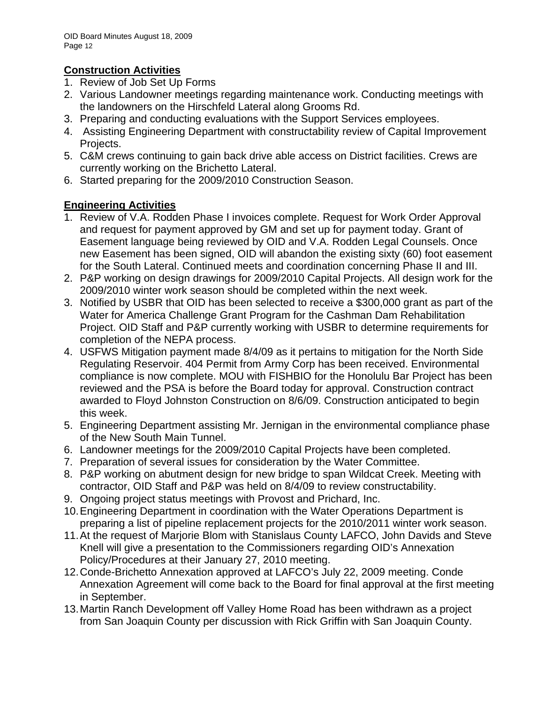# **Construction Activities**

- 1. Review of Job Set Up Forms
- 2. Various Landowner meetings regarding maintenance work. Conducting meetings with the landowners on the Hirschfeld Lateral along Grooms Rd.
- 3. Preparing and conducting evaluations with the Support Services employees.
- 4. Assisting Engineering Department with constructability review of Capital Improvement Projects.
- 5. C&M crews continuing to gain back drive able access on District facilities. Crews are currently working on the Brichetto Lateral.
- 6. Started preparing for the 2009/2010 Construction Season.

# **Engineering Activities**

- 1. Review of V.A. Rodden Phase I invoices complete. Request for Work Order Approval and request for payment approved by GM and set up for payment today. Grant of Easement language being reviewed by OID and V.A. Rodden Legal Counsels. Once new Easement has been signed, OID will abandon the existing sixty (60) foot easement for the South Lateral. Continued meets and coordination concerning Phase II and III.
- 2. P&P working on design drawings for 2009/2010 Capital Projects. All design work for the 2009/2010 winter work season should be completed within the next week.
- 3. Notified by USBR that OID has been selected to receive a \$300,000 grant as part of the Water for America Challenge Grant Program for the Cashman Dam Rehabilitation Project. OID Staff and P&P currently working with USBR to determine requirements for completion of the NEPA process.
- 4. USFWS Mitigation payment made 8/4/09 as it pertains to mitigation for the North Side Regulating Reservoir. 404 Permit from Army Corp has been received. Environmental compliance is now complete. MOU with FISHBIO for the Honolulu Bar Project has been reviewed and the PSA is before the Board today for approval. Construction contract awarded to Floyd Johnston Construction on 8/6/09. Construction anticipated to begin this week.
- 5. Engineering Department assisting Mr. Jernigan in the environmental compliance phase of the New South Main Tunnel.
- 6. Landowner meetings for the 2009/2010 Capital Projects have been completed.
- 7. Preparation of several issues for consideration by the Water Committee.
- 8. P&P working on abutment design for new bridge to span Wildcat Creek. Meeting with contractor, OID Staff and P&P was held on 8/4/09 to review constructability.
- 9. Ongoing project status meetings with Provost and Prichard, Inc.
- 10. Engineering Department in coordination with the Water Operations Department is preparing a list of pipeline replacement projects for the 2010/2011 winter work season.
- 11. At the request of Marjorie Blom with Stanislaus County LAFCO, John Davids and Steve Knell will give a presentation to the Commissioners regarding OID's Annexation Policy/Procedures at their January 27, 2010 meeting.
- 12. Conde-Brichetto Annexation approved at LAFCO's July 22, 2009 meeting. Conde Annexation Agreement will come back to the Board for final approval at the first meeting in September.
- 13. Martin Ranch Development off Valley Home Road has been withdrawn as a project from San Joaquin County per discussion with Rick Griffin with San Joaquin County.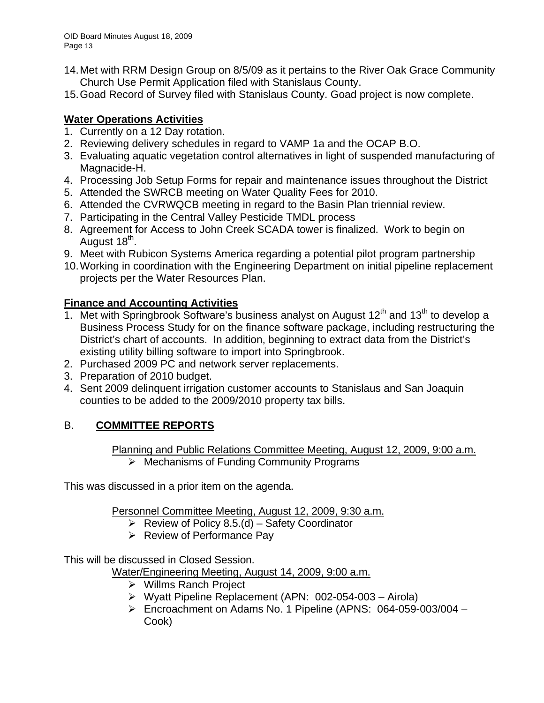- 14. Met with RRM Design Group on 8/5/09 as it pertains to the River Oak Grace Community Church Use Permit Application filed with Stanislaus County.
- 15. Goad Record of Survey filed with Stanislaus County. Goad project is now complete.

# **Water Operations Activities**

- 1. Currently on a 12 Day rotation.
- 2. Reviewing delivery schedules in regard to VAMP 1a and the OCAP B.O.
- 3. Evaluating aquatic vegetation control alternatives in light of suspended manufacturing of Magnacide-H.
- 4. Processing Job Setup Forms for repair and maintenance issues throughout the District
- 5. Attended the SWRCB meeting on Water Quality Fees for 2010.
- 6. Attended the CVRWQCB meeting in regard to the Basin Plan triennial review.
- 7. Participating in the Central Valley Pesticide TMDL process
- 8. Agreement for Access to John Creek SCADA tower is finalized. Work to begin on August 18<sup>th</sup>.
- 9. Meet with Rubicon Systems America regarding a potential pilot program partnership
- 10. Working in coordination with the Engineering Department on initial pipeline replacement projects per the Water Resources Plan.

# **Finance and Accounting Activities**

- 1. Met with Springbrook Software's business analyst on August  $12<sup>th</sup>$  and  $13<sup>th</sup>$  to develop a Business Process Study for on the finance software package, including restructuring the District's chart of accounts. In addition, beginning to extract data from the District's existing utility billing software to import into Springbrook.
- 2. Purchased 2009 PC and network server replacements.
- 3. Preparation of 2010 budget.
- 4. Sent 2009 delinquent irrigation customer accounts to Stanislaus and San Joaquin counties to be added to the 2009/2010 property tax bills.

# B. **COMMITTEE REPORTS**

Planning and Public Relations Committee Meeting, August 12, 2009, 9:00 a.m.

 $\triangleright$  Mechanisms of Funding Community Programs

This was discussed in a prior item on the agenda.

Personnel Committee Meeting, August 12, 2009, 9:30 a.m.

- Exerciev of Policy 8.5.(d) Safety Coordinator
- $\triangleright$  Review of Performance Pay

This will be discussed in Closed Session.

Water/Engineering Meeting, August 14, 2009, 9:00 a.m.

- ¾ Willms Ranch Project
- ¾ Wyatt Pipeline Replacement (APN: 002-054-003 Airola)
- ¾ Encroachment on Adams No. 1 Pipeline (APNS: 064-059-003/004 Cook)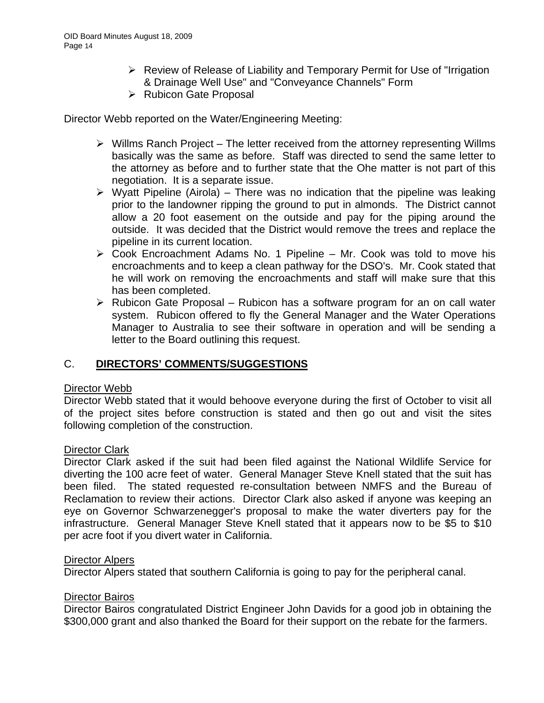- ¾ Review of Release of Liability and Temporary Permit for Use of "Irrigation & Drainage Well Use" and "Conveyance Channels" Form
- ¾ Rubicon Gate Proposal

Director Webb reported on the Water/Engineering Meeting:

- $\triangleright$  Willms Ranch Project The letter received from the attorney representing Willms basically was the same as before. Staff was directed to send the same letter to the attorney as before and to further state that the Ohe matter is not part of this negotiation. It is a separate issue.
- $\triangleright$  Wyatt Pipeline (Airola) There was no indication that the pipeline was leaking prior to the landowner ripping the ground to put in almonds. The District cannot allow a 20 foot easement on the outside and pay for the piping around the outside. It was decided that the District would remove the trees and replace the pipeline in its current location.
- $\triangleright$  Cook Encroachment Adams No. 1 Pipeline Mr. Cook was told to move his encroachments and to keep a clean pathway for the DSO's. Mr. Cook stated that he will work on removing the encroachments and staff will make sure that this has been completed.
- $\triangleright$  Rubicon Gate Proposal Rubicon has a software program for an on call water system. Rubicon offered to fly the General Manager and the Water Operations Manager to Australia to see their software in operation and will be sending a letter to the Board outlining this request.

# C. **DIRECTORS' COMMENTS/SUGGESTIONS**

## Director Webb

Director Webb stated that it would behoove everyone during the first of October to visit all of the project sites before construction is stated and then go out and visit the sites following completion of the construction.

## Director Clark

Director Clark asked if the suit had been filed against the National Wildlife Service for diverting the 100 acre feet of water. General Manager Steve Knell stated that the suit has been filed. The stated requested re-consultation between NMFS and the Bureau of Reclamation to review their actions. Director Clark also asked if anyone was keeping an eye on Governor Schwarzenegger's proposal to make the water diverters pay for the infrastructure. General Manager Steve Knell stated that it appears now to be \$5 to \$10 per acre foot if you divert water in California.

#### Director Alpers

Director Alpers stated that southern California is going to pay for the peripheral canal.

## Director Bairos

Director Bairos congratulated District Engineer John Davids for a good job in obtaining the \$300,000 grant and also thanked the Board for their support on the rebate for the farmers.